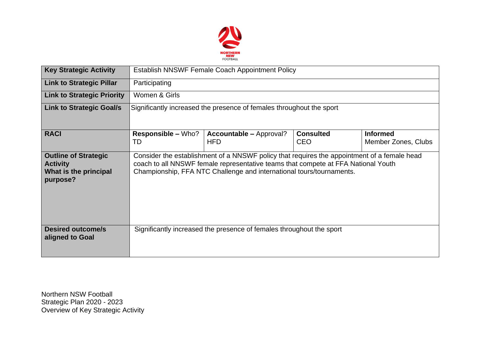

| <b>Key Strategic Activity</b>                                                       | Establish NNSWF Female Coach Appointment Policy                                                                                                                                                                                                          |                                                                      |                                |                                        |  |  |  |  |
|-------------------------------------------------------------------------------------|----------------------------------------------------------------------------------------------------------------------------------------------------------------------------------------------------------------------------------------------------------|----------------------------------------------------------------------|--------------------------------|----------------------------------------|--|--|--|--|
| <b>Link to Strategic Pillar</b>                                                     | Participating                                                                                                                                                                                                                                            |                                                                      |                                |                                        |  |  |  |  |
| <b>Link to Strategic Priority</b>                                                   | Women & Girls                                                                                                                                                                                                                                            |                                                                      |                                |                                        |  |  |  |  |
| <b>Link to Strategic Goal/s</b>                                                     | Significantly increased the presence of females throughout the sport                                                                                                                                                                                     |                                                                      |                                |                                        |  |  |  |  |
| <b>RACI</b>                                                                         | <b>Responsible – Who?</b><br>TD                                                                                                                                                                                                                          | <b>Accountable - Approval?</b><br><b>HFD</b>                         | <b>Consulted</b><br><b>CEO</b> | <b>Informed</b><br>Member Zones, Clubs |  |  |  |  |
| <b>Outline of Strategic</b><br><b>Activity</b><br>What is the principal<br>purpose? | Consider the establishment of a NNSWF policy that requires the appointment of a female head<br>coach to all NNSWF female representative teams that compete at FFA National Youth<br>Championship, FFA NTC Challenge and international tours/tournaments. |                                                                      |                                |                                        |  |  |  |  |
| <b>Desired outcome/s</b><br>aligned to Goal                                         |                                                                                                                                                                                                                                                          | Significantly increased the presence of females throughout the sport |                                |                                        |  |  |  |  |

Northern NSW Football Strategic Plan 2020 - 2023 Overview of Key Strategic Activity